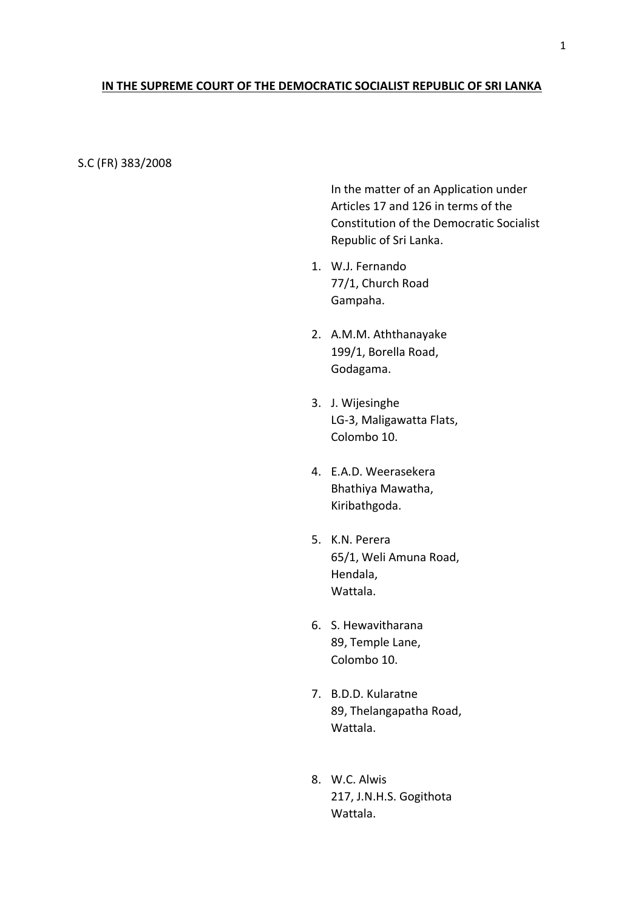## **IN THE SUPREME COURT OF THE DEMOCRATIC SOCIALIST REPUBLIC OF SRI LANKA**

S.C (FR) 383/2008

In the matter of an Application under Articles 17 and 126 in terms of the Constitution of the Democratic Socialist Republic of Sri Lanka.

- 1. W.J. Fernando 77/1, Church Road Gampaha.
- 2. A.M.M. Aththanayake 199/1, Borella Road, Godagama.
- 3. J. Wijesinghe LG-3, Maligawatta Flats, Colombo 10.
- 4. E.A.D. Weerasekera Bhathiya Mawatha, Kiribathgoda.
- 5. K.N. Perera 65/1, Weli Amuna Road, Hendala, Wattala.
- 6. S. Hewavitharana 89, Temple Lane, Colombo 10.
- 7. B.D.D. Kularatne 89, Thelangapatha Road, Wattala.
- 8. W.C. Alwis 217, J.N.H.S. Gogithota Wattala.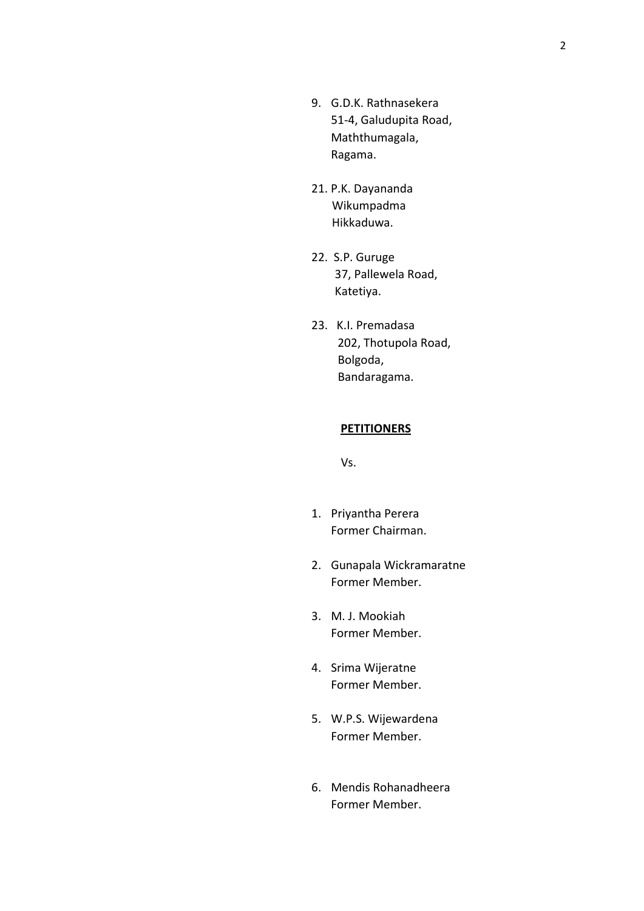- 9. G.D.K. Rathnasekera 51-4, Galudupita Road, Maththumagala, Ragama.
- 21. P.K. Dayananda Wikumpadma Hikkaduwa.
- 22. S.P. Guruge 37, Pallewela Road, Katetiya.
- 23. K.I. Premadasa 202, Thotupola Road, Bolgoda, Bandaragama.

## **PETITIONERS**

Vs.

- 1. Priyantha Perera Former Chairman.
- 2. Gunapala Wickramaratne Former Member.
- 3. M. J. Mookiah Former Member.
- 4. Srima Wijeratne Former Member.
- 5. W.P.S. Wijewardena Former Member.
- 6. Mendis Rohanadheera Former Member.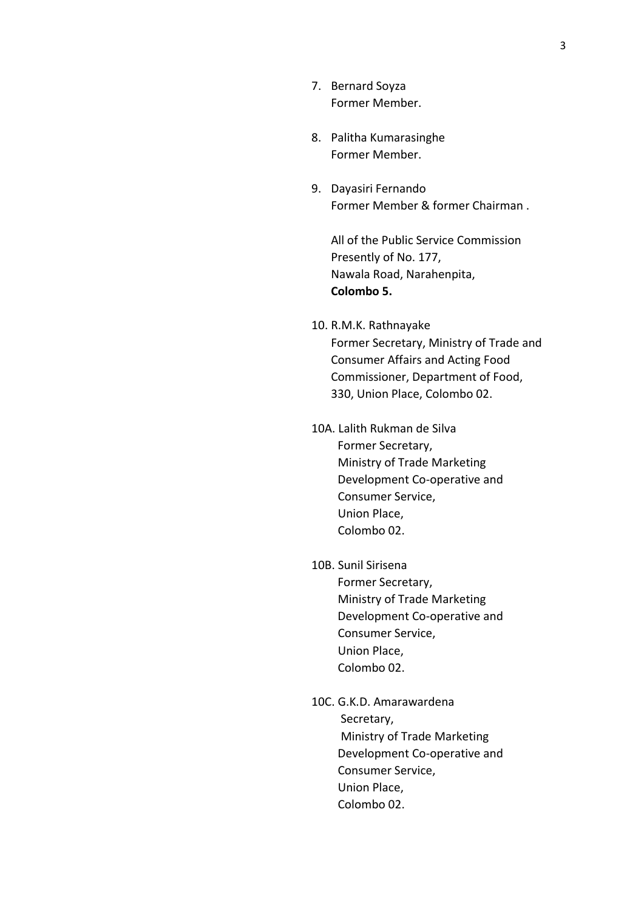- 7. Bernard Soyza Former Member.
- 8. Palitha Kumarasinghe Former Member.
- 9. Dayasiri Fernando Former Member & former Chairman .

All of the Public Service Commission Presently of No. 177, Nawala Road, Narahenpita, **Colombo 5.**

- 10. R.M.K. Rathnayake Former Secretary, Ministry of Trade and Consumer Affairs and Acting Food Commissioner, Department of Food, 330, Union Place, Colombo 02.
- 10A. Lalith Rukman de Silva Former Secretary, Ministry of Trade Marketing Development Co-operative and Consumer Service, Union Place, Colombo 02.
- 10B. Sunil Sirisena Former Secretary, Ministry of Trade Marketing Development Co-operative and Consumer Service, Union Place, Colombo 02.
- 10C. G.K.D. Amarawardena Secretary, Ministry of Trade Marketing Development Co-operative and Consumer Service, Union Place, Colombo 02.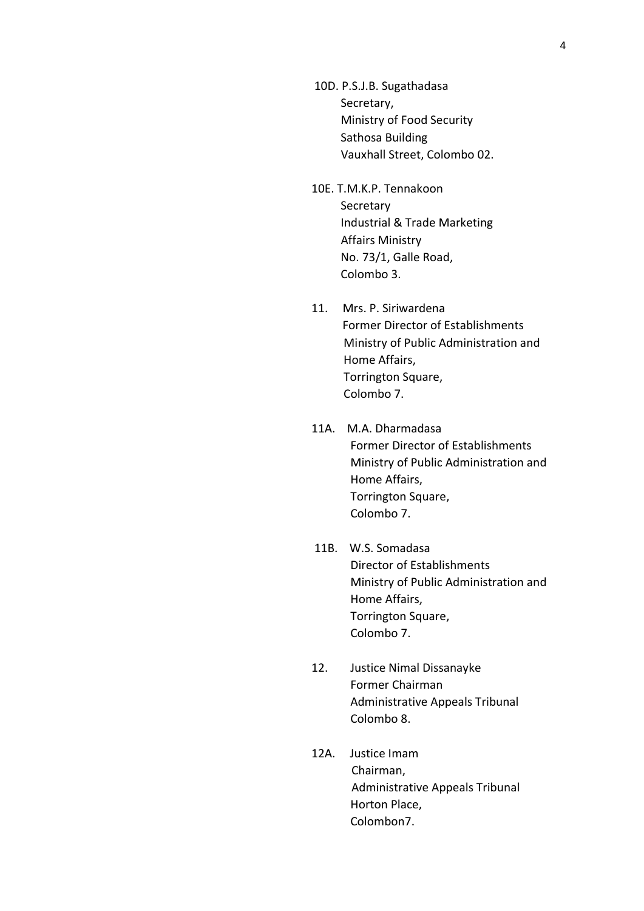- 10D. P.S.J.B. Sugathadasa Secretary, Ministry of Food Security Sathosa Building Vauxhall Street, Colombo 02.
- 10E. T.M.K.P. Tennakoon Secretary Industrial & Trade Marketing Affairs Ministry No. 73/1, Galle Road, Colombo 3.
- 11. Mrs. P. Siriwardena Former Director of Establishments Ministry of Public Administration and Home Affairs, Torrington Square, Colombo 7.
- 11A. M.A. Dharmadasa Former Director of Establishments Ministry of Public Administration and Home Affairs, Torrington Square, Colombo 7.
- 11B. W.S. Somadasa Director of Establishments Ministry of Public Administration and Home Affairs, Torrington Square, Colombo 7.
- 12. Justice Nimal Dissanayke Former Chairman Administrative Appeals Tribunal Colombo 8.
- 12A. Justice Imam Chairman, Administrative Appeals Tribunal Horton Place, Colombon7.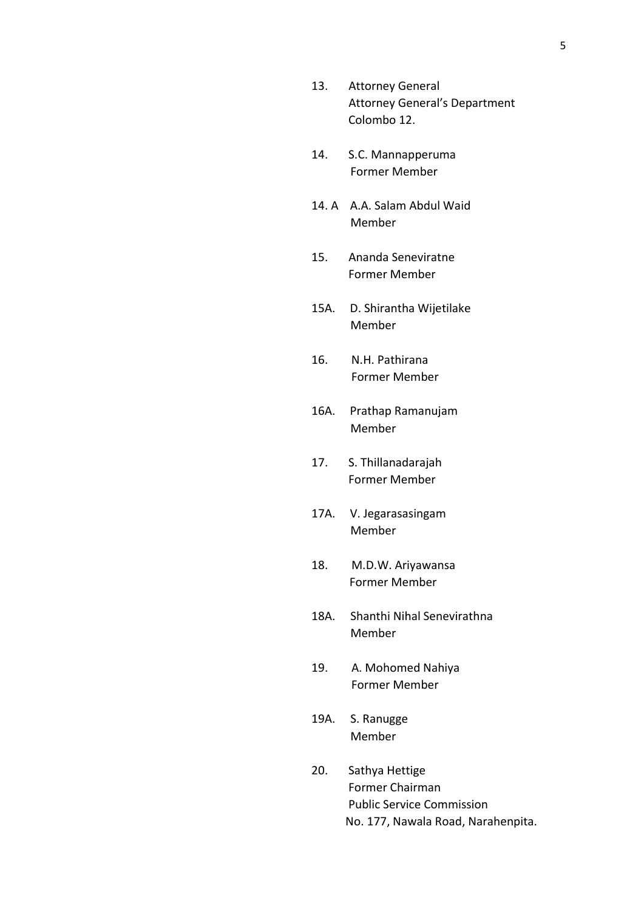- 13. Attorney General Attorney General's Department Colombo 12.
- 14. S.C. Mannapperuma Former Member
- 14. A A.A. Salam Abdul Waid Member
- 15. Ananda Seneviratne Former Member
- 15A. D. Shirantha Wijetilake Member
- 16. N.H. Pathirana Former Member
- 16A. Prathap Ramanujam Member
- 17. S. Thillanadarajah Former Member
- 17A. V. Jegarasasingam Member
- 18. M.D.W. Ariyawansa Former Member
- 18A. Shanthi Nihal Senevirathna Member
- 19. A. Mohomed Nahiya Former Member
- 19A. S. Ranugge Member
- 20. Sathya Hettige Former Chairman Public Service Commission No. 177, Nawala Road, Narahenpita.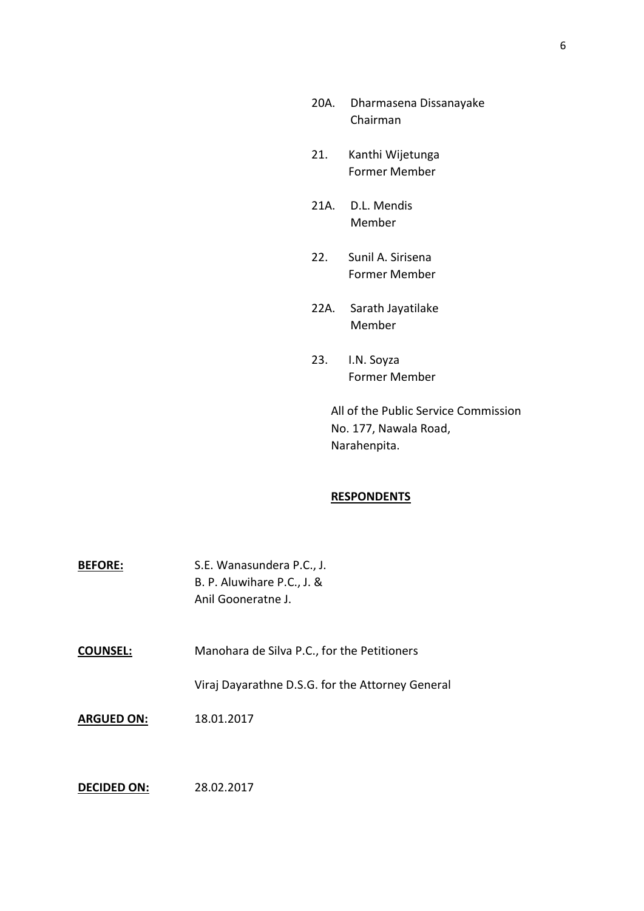- 20A. Dharmasena Dissanayake Chairman
- 21. Kanthi Wijetunga Former Member
- 21A. D.L. Mendis Member
- 22. Sunil A. Sirisena Former Member
- 22A. Sarath Jayatilake Member
- 23. I.N. Soyza Former Member

All of the Public Service Commission No. 177, Nawala Road, Narahenpita.

## **RESPONDENTS**

| <b>BEFORE:</b> | S.E. Wanasundera P.C., J.  |
|----------------|----------------------------|
|                | B. P. Aluwihare P.C., J. & |
|                | Anil Gooneratne J.         |

**COUNSEL:** Manohara de Silva P.C., for the Petitioners

Viraj Dayarathne D.S.G. for the Attorney General

**ARGUED ON:** 18.01.2017

**DECIDED ON:** 28.02.2017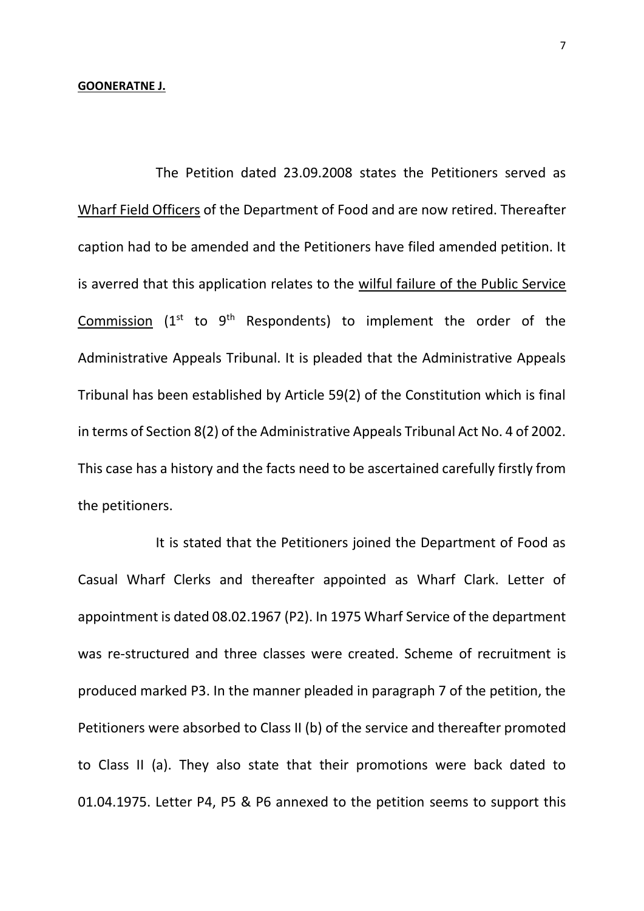The Petition dated 23.09.2008 states the Petitioners served as Wharf Field Officers of the Department of Food and are now retired. Thereafter caption had to be amended and the Petitioners have filed amended petition. It is averred that this application relates to the wilful failure of the Public Service Commission  $(1<sup>st</sup>$  to  $9<sup>th</sup>$  Respondents) to implement the order of the Administrative Appeals Tribunal. It is pleaded that the Administrative Appeals Tribunal has been established by Article 59(2) of the Constitution which is final in terms of Section 8(2) of the Administrative Appeals Tribunal Act No. 4 of 2002. This case has a history and the facts need to be ascertained carefully firstly from the petitioners.

It is stated that the Petitioners joined the Department of Food as Casual Wharf Clerks and thereafter appointed as Wharf Clark. Letter of appointment is dated 08.02.1967 (P2). In 1975 Wharf Service of the department was re-structured and three classes were created. Scheme of recruitment is produced marked P3. In the manner pleaded in paragraph 7 of the petition, the Petitioners were absorbed to Class II (b) of the service and thereafter promoted to Class II (a). They also state that their promotions were back dated to 01.04.1975. Letter P4, P5 & P6 annexed to the petition seems to support this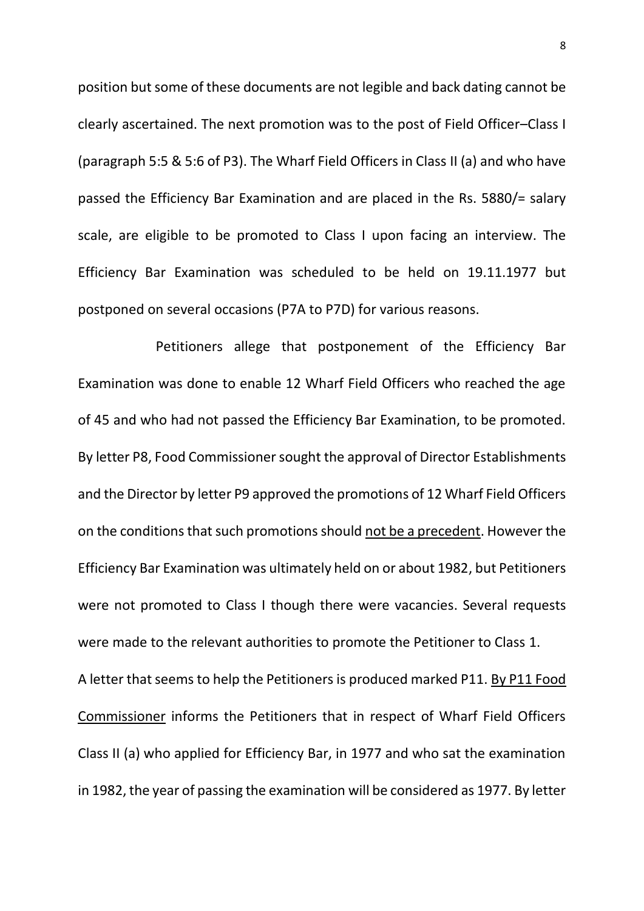position but some of these documents are not legible and back dating cannot be clearly ascertained. The next promotion was to the post of Field Officer–Class I (paragraph 5:5 & 5:6 of P3). The Wharf Field Officers in Class II (a) and who have passed the Efficiency Bar Examination and are placed in the Rs. 5880/= salary scale, are eligible to be promoted to Class I upon facing an interview. The Efficiency Bar Examination was scheduled to be held on 19.11.1977 but postponed on several occasions (P7A to P7D) for various reasons.

Petitioners allege that postponement of the Efficiency Bar Examination was done to enable 12 Wharf Field Officers who reached the age of 45 and who had not passed the Efficiency Bar Examination, to be promoted. By letter P8, Food Commissioner sought the approval of Director Establishments and the Director by letter P9 approved the promotions of 12 Wharf Field Officers on the conditions that such promotions should not be a precedent. However the Efficiency Bar Examination was ultimately held on or about 1982, but Petitioners were not promoted to Class I though there were vacancies. Several requests were made to the relevant authorities to promote the Petitioner to Class 1. A letter that seems to help the Petitioners is produced marked P11. By P11 Food Commissioner informs the Petitioners that in respect of Wharf Field Officers Class II (a) who applied for Efficiency Bar, in 1977 and who sat the examination in 1982, the year of passing the examination will be considered as 1977. By letter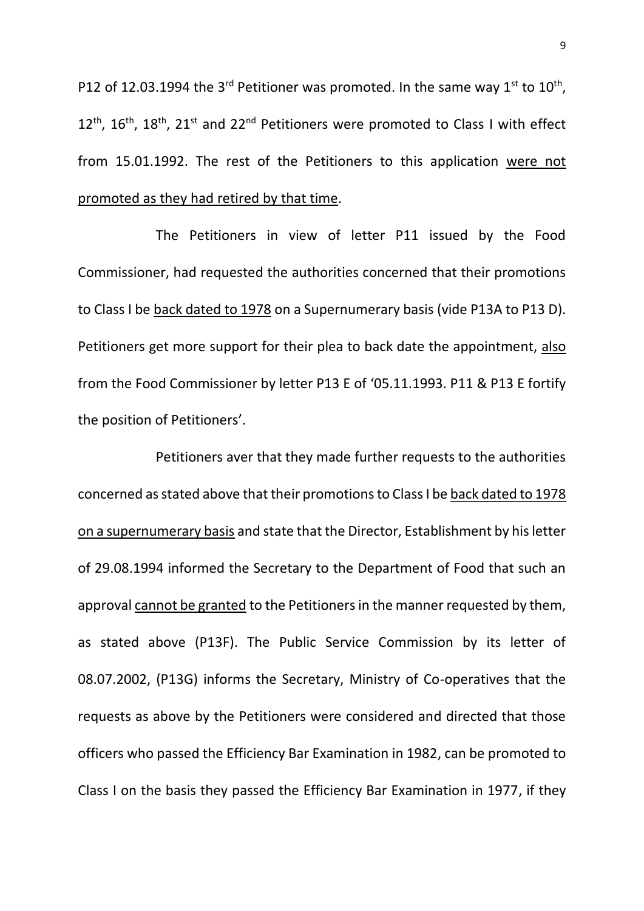P12 of 12.03.1994 the 3<sup>rd</sup> Petitioner was promoted. In the same way 1<sup>st</sup> to 10<sup>th</sup>,  $12^{\text{th}}$ ,  $16^{\text{th}}$ ,  $18^{\text{th}}$ ,  $21^{\text{st}}$  and  $22^{\text{nd}}$  Petitioners were promoted to Class I with effect from 15.01.1992. The rest of the Petitioners to this application were not promoted as they had retired by that time.

The Petitioners in view of letter P11 issued by the Food Commissioner, had requested the authorities concerned that their promotions to Class I be back dated to 1978 on a Supernumerary basis (vide P13A to P13 D). Petitioners get more support for their plea to back date the appointment, also from the Food Commissioner by letter P13 E of '05.11.1993. P11 & P13 E fortify the position of Petitioners'.

Petitioners aver that they made further requests to the authorities concerned as stated above that their promotions to Class I be back dated to 1978 on a supernumerary basis and state that the Director, Establishment by his letter of 29.08.1994 informed the Secretary to the Department of Food that such an approval cannot be granted to the Petitioners in the manner requested by them, as stated above (P13F). The Public Service Commission by its letter of 08.07.2002, (P13G) informs the Secretary, Ministry of Co-operatives that the requests as above by the Petitioners were considered and directed that those officers who passed the Efficiency Bar Examination in 1982, can be promoted to Class I on the basis they passed the Efficiency Bar Examination in 1977, if they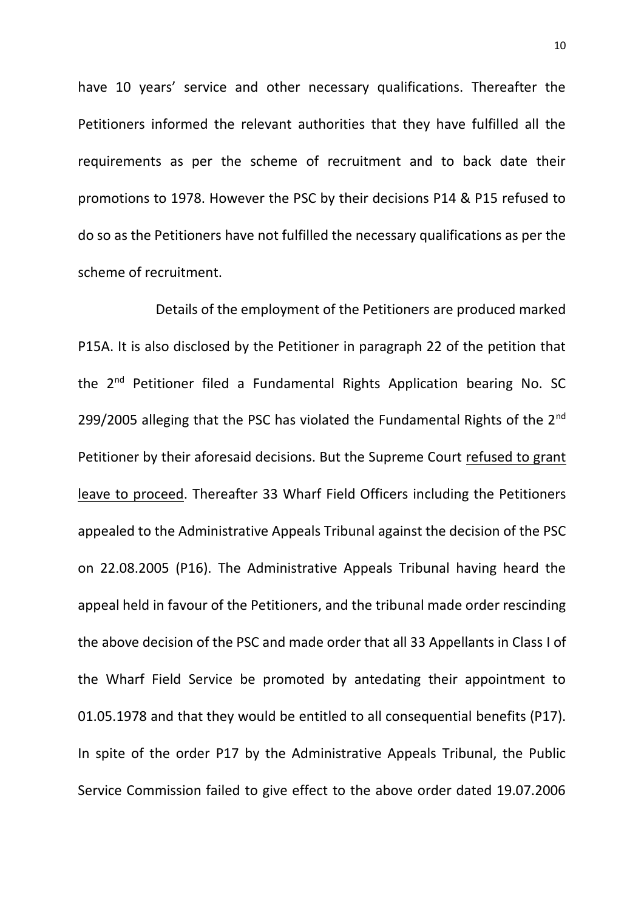have 10 years' service and other necessary qualifications. Thereafter the Petitioners informed the relevant authorities that they have fulfilled all the requirements as per the scheme of recruitment and to back date their promotions to 1978. However the PSC by their decisions P14 & P15 refused to do so as the Petitioners have not fulfilled the necessary qualifications as per the scheme of recruitment.

Details of the employment of the Petitioners are produced marked P15A. It is also disclosed by the Petitioner in paragraph 22 of the petition that the 2<sup>nd</sup> Petitioner filed a Fundamental Rights Application bearing No. SC 299/2005 alleging that the PSC has violated the Fundamental Rights of the 2<sup>nd</sup> Petitioner by their aforesaid decisions. But the Supreme Court refused to grant leave to proceed. Thereafter 33 Wharf Field Officers including the Petitioners appealed to the Administrative Appeals Tribunal against the decision of the PSC on 22.08.2005 (P16). The Administrative Appeals Tribunal having heard the appeal held in favour of the Petitioners, and the tribunal made order rescinding the above decision of the PSC and made order that all 33 Appellants in Class I of the Wharf Field Service be promoted by antedating their appointment to 01.05.1978 and that they would be entitled to all consequential benefits (P17). In spite of the order P17 by the Administrative Appeals Tribunal, the Public Service Commission failed to give effect to the above order dated 19.07.2006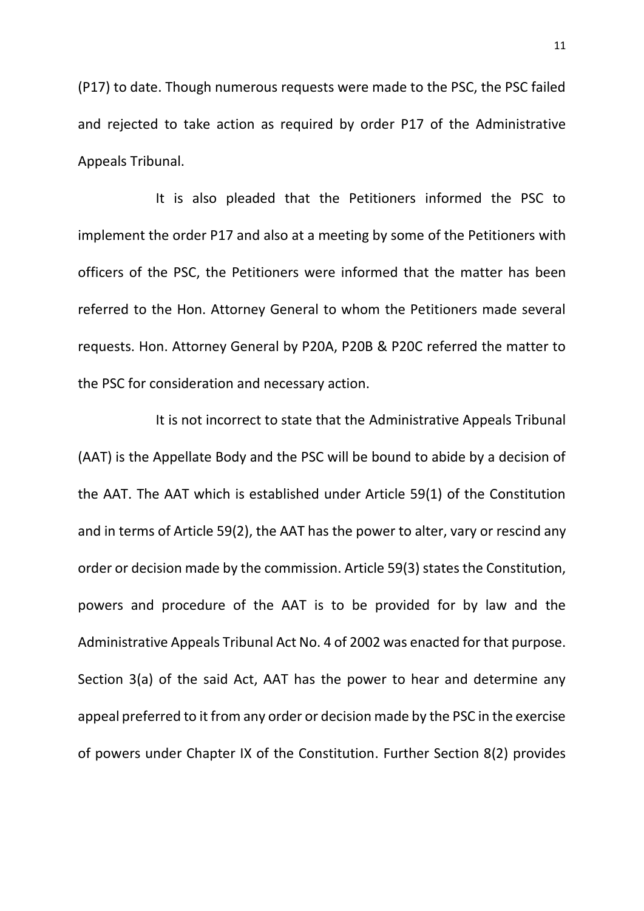(P17) to date. Though numerous requests were made to the PSC, the PSC failed and rejected to take action as required by order P17 of the Administrative Appeals Tribunal.

It is also pleaded that the Petitioners informed the PSC to implement the order P17 and also at a meeting by some of the Petitioners with officers of the PSC, the Petitioners were informed that the matter has been referred to the Hon. Attorney General to whom the Petitioners made several requests. Hon. Attorney General by P20A, P20B & P20C referred the matter to the PSC for consideration and necessary action.

It is not incorrect to state that the Administrative Appeals Tribunal (AAT) is the Appellate Body and the PSC will be bound to abide by a decision of the AAT. The AAT which is established under Article 59(1) of the Constitution and in terms of Article 59(2), the AAT has the power to alter, vary or rescind any order or decision made by the commission. Article 59(3) states the Constitution, powers and procedure of the AAT is to be provided for by law and the Administrative Appeals Tribunal Act No. 4 of 2002 was enacted for that purpose. Section 3(a) of the said Act, AAT has the power to hear and determine any appeal preferred to it from any order or decision made by the PSC in the exercise of powers under Chapter IX of the Constitution. Further Section 8(2) provides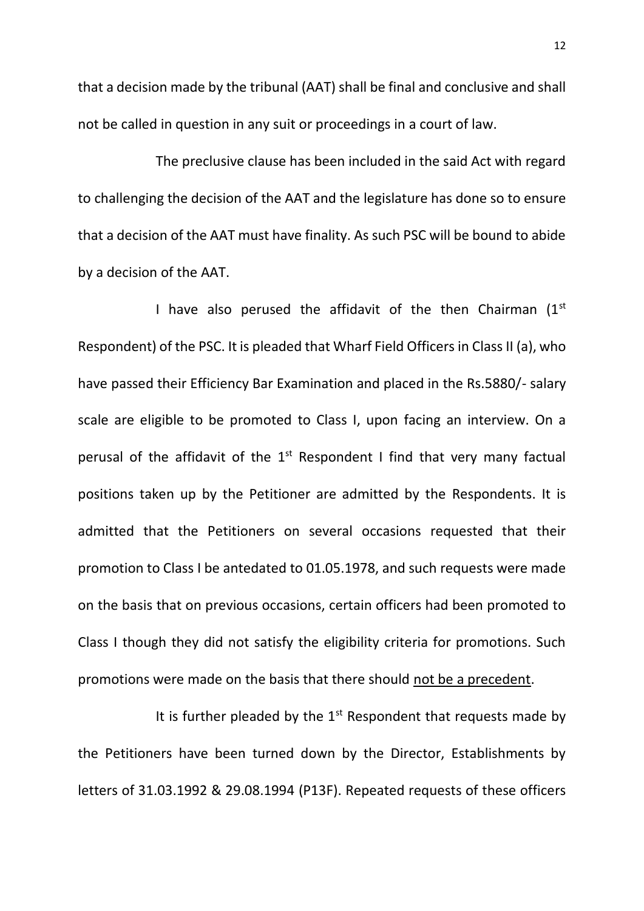that a decision made by the tribunal (AAT) shall be final and conclusive and shall not be called in question in any suit or proceedings in a court of law.

The preclusive clause has been included in the said Act with regard to challenging the decision of the AAT and the legislature has done so to ensure that a decision of the AAT must have finality. As such PSC will be bound to abide by a decision of the AAT.

I have also perused the affidavit of the then Chairman  $(1<sup>st</sup>$ Respondent) of the PSC. It is pleaded that Wharf Field Officers in Class II (a), who have passed their Efficiency Bar Examination and placed in the Rs.5880/- salary scale are eligible to be promoted to Class I, upon facing an interview. On a perusal of the affidavit of the  $1<sup>st</sup>$  Respondent I find that very many factual positions taken up by the Petitioner are admitted by the Respondents. It is admitted that the Petitioners on several occasions requested that their promotion to Class I be antedated to 01.05.1978, and such requests were made on the basis that on previous occasions, certain officers had been promoted to Class I though they did not satisfy the eligibility criteria for promotions. Such promotions were made on the basis that there should not be a precedent.

It is further pleaded by the  $1<sup>st</sup>$  Respondent that requests made by the Petitioners have been turned down by the Director, Establishments by letters of 31.03.1992 & 29.08.1994 (P13F). Repeated requests of these officers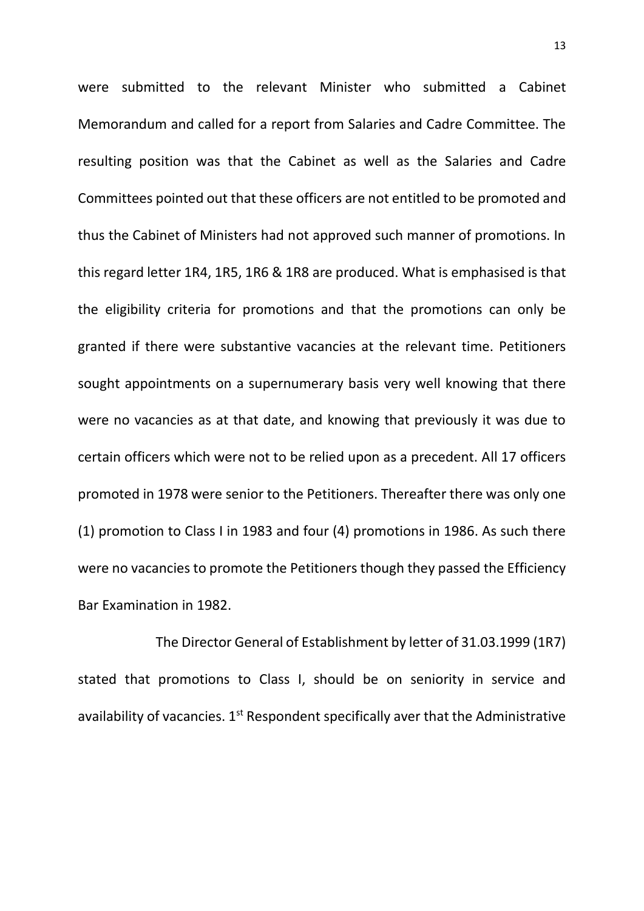were submitted to the relevant Minister who submitted a Cabinet Memorandum and called for a report from Salaries and Cadre Committee. The resulting position was that the Cabinet as well as the Salaries and Cadre Committees pointed out that these officers are not entitled to be promoted and thus the Cabinet of Ministers had not approved such manner of promotions. In this regard letter 1R4, 1R5, 1R6 & 1R8 are produced. What is emphasised is that the eligibility criteria for promotions and that the promotions can only be granted if there were substantive vacancies at the relevant time. Petitioners sought appointments on a supernumerary basis very well knowing that there were no vacancies as at that date, and knowing that previously it was due to certain officers which were not to be relied upon as a precedent. All 17 officers promoted in 1978 were senior to the Petitioners. Thereafter there was only one (1) promotion to Class I in 1983 and four (4) promotions in 1986. As such there were no vacancies to promote the Petitioners though they passed the Efficiency Bar Examination in 1982.

The Director General of Establishment by letter of 31.03.1999 (1R7) stated that promotions to Class I, should be on seniority in service and availability of vacancies.  $1<sup>st</sup>$  Respondent specifically aver that the Administrative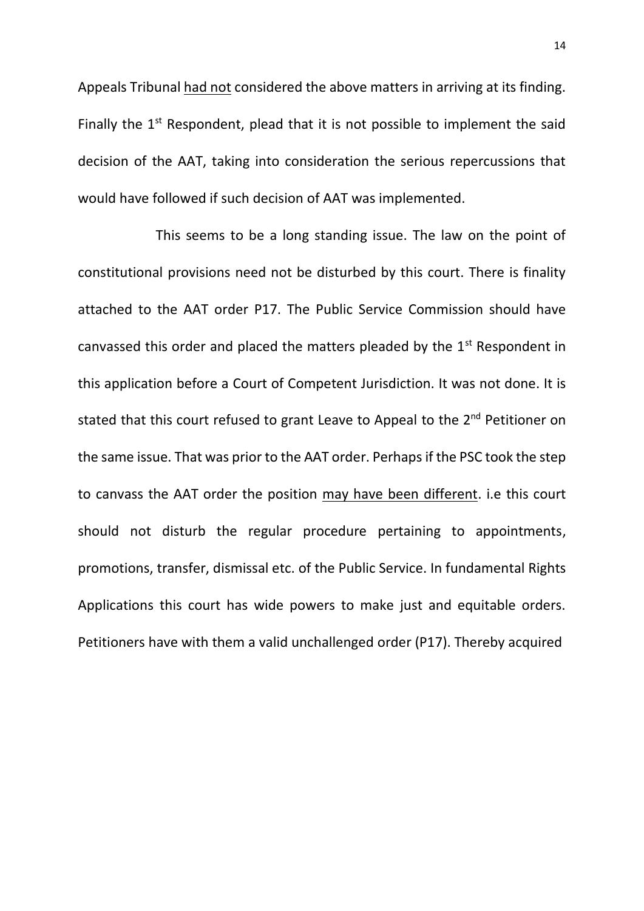Appeals Tribunal had not considered the above matters in arriving at its finding. Finally the  $1<sup>st</sup>$  Respondent, plead that it is not possible to implement the said decision of the AAT, taking into consideration the serious repercussions that would have followed if such decision of AAT was implemented.

This seems to be a long standing issue. The law on the point of constitutional provisions need not be disturbed by this court. There is finality attached to the AAT order P17. The Public Service Commission should have canvassed this order and placed the matters pleaded by the  $1<sup>st</sup>$  Respondent in this application before a Court of Competent Jurisdiction. It was not done. It is stated that this court refused to grant Leave to Appeal to the 2<sup>nd</sup> Petitioner on the same issue. That was prior to the AAT order. Perhaps if the PSC took the step to canvass the AAT order the position may have been different. i.e this court should not disturb the regular procedure pertaining to appointments, promotions, transfer, dismissal etc. of the Public Service. In fundamental Rights Applications this court has wide powers to make just and equitable orders. Petitioners have with them a valid unchallenged order (P17). Thereby acquired